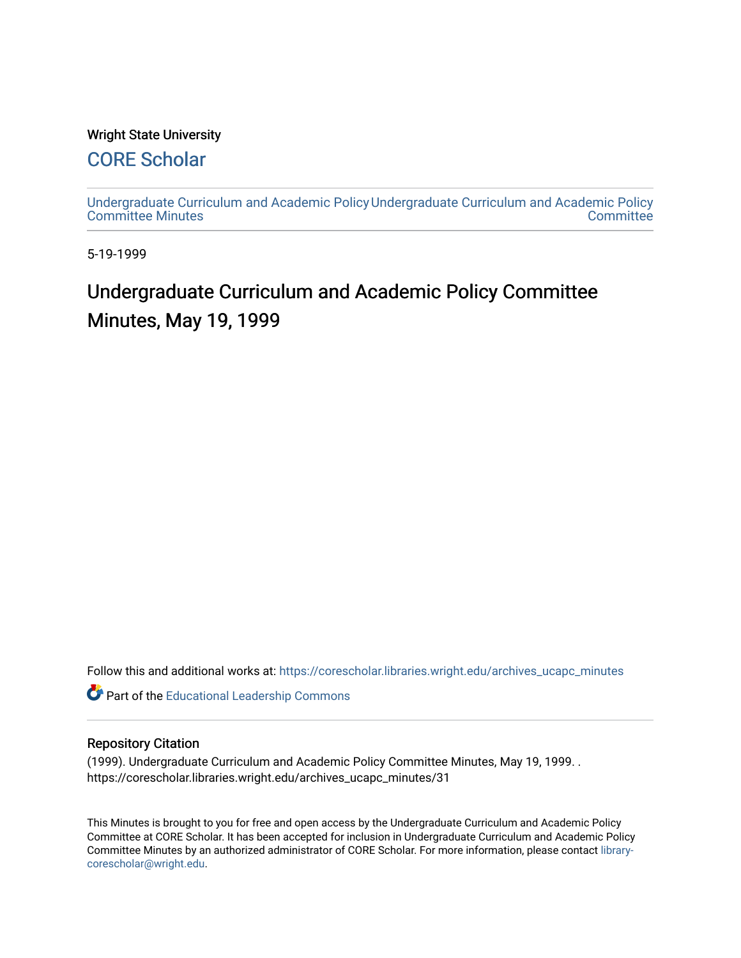#### Wright State University

## [CORE Scholar](https://corescholar.libraries.wright.edu/)

[Undergraduate Curriculum and Academic Policy](https://corescholar.libraries.wright.edu/archives_ucapc_minutes) [Undergraduate Curriculum and Academic Policy](https://corescholar.libraries.wright.edu/archives_ucapc)  [Committee Minutes](https://corescholar.libraries.wright.edu/archives_ucapc_minutes) **Committee** 

5-19-1999

# Undergraduate Curriculum and Academic Policy Committee Minutes, May 19, 1999

Follow this and additional works at: [https://corescholar.libraries.wright.edu/archives\\_ucapc\\_minutes](https://corescholar.libraries.wright.edu/archives_ucapc_minutes?utm_source=corescholar.libraries.wright.edu%2Farchives_ucapc_minutes%2F31&utm_medium=PDF&utm_campaign=PDFCoverPages) 

Part of the [Educational Leadership Commons](http://network.bepress.com/hgg/discipline/1230?utm_source=corescholar.libraries.wright.edu%2Farchives_ucapc_minutes%2F31&utm_medium=PDF&utm_campaign=PDFCoverPages) 

#### Repository Citation

(1999). Undergraduate Curriculum and Academic Policy Committee Minutes, May 19, 1999. . https://corescholar.libraries.wright.edu/archives\_ucapc\_minutes/31

This Minutes is brought to you for free and open access by the Undergraduate Curriculum and Academic Policy Committee at CORE Scholar. It has been accepted for inclusion in Undergraduate Curriculum and Academic Policy Committee Minutes by an authorized administrator of CORE Scholar. For more information, please contact [library](mailto:library-corescholar@wright.edu)[corescholar@wright.edu](mailto:library-corescholar@wright.edu).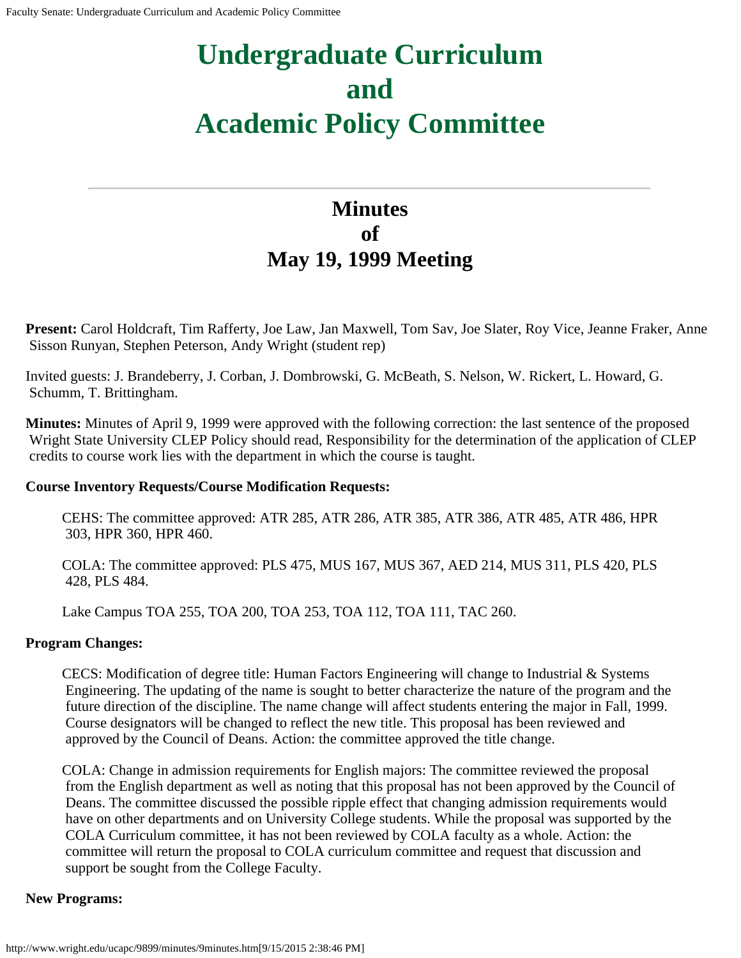# **Undergraduate Curriculum and Academic Policy Committee**

## **Minutes of May 19, 1999 Meeting**

**Present:** Carol Holdcraft, Tim Rafferty, Joe Law, Jan Maxwell, Tom Sav, Joe Slater, Roy Vice, Jeanne Fraker, Anne Sisson Runyan, Stephen Peterson, Andy Wright (student rep)

Invited guests: J. Brandeberry, J. Corban, J. Dombrowski, G. McBeath, S. Nelson, W. Rickert, L. Howard, G. Schumm, T. Brittingham.

**Minutes:** Minutes of April 9, 1999 were approved with the following correction: the last sentence of the proposed Wright State University CLEP Policy should read, Responsibility for the determination of the application of CLEP credits to course work lies with the department in which the course is taught.

#### **Course Inventory Requests/Course Modification Requests:**

CEHS: The committee approved: ATR 285, ATR 286, ATR 385, ATR 386, ATR 485, ATR 486, HPR 303, HPR 360, HPR 460.

COLA: The committee approved: PLS 475, MUS 167, MUS 367, AED 214, MUS 311, PLS 420, PLS 428, PLS 484.

Lake Campus TOA 255, TOA 200, TOA 253, TOA 112, TOA 111, TAC 260.

#### **Program Changes:**

CECS: Modification of degree title: Human Factors Engineering will change to Industrial & Systems Engineering. The updating of the name is sought to better characterize the nature of the program and the future direction of the discipline. The name change will affect students entering the major in Fall, 1999. Course designators will be changed to reflect the new title. This proposal has been reviewed and approved by the Council of Deans. Action: the committee approved the title change.

COLA: Change in admission requirements for English majors: The committee reviewed the proposal from the English department as well as noting that this proposal has not been approved by the Council of Deans. The committee discussed the possible ripple effect that changing admission requirements would have on other departments and on University College students. While the proposal was supported by the COLA Curriculum committee, it has not been reviewed by COLA faculty as a whole. Action: the committee will return the proposal to COLA curriculum committee and request that discussion and support be sought from the College Faculty.

#### **New Programs:**